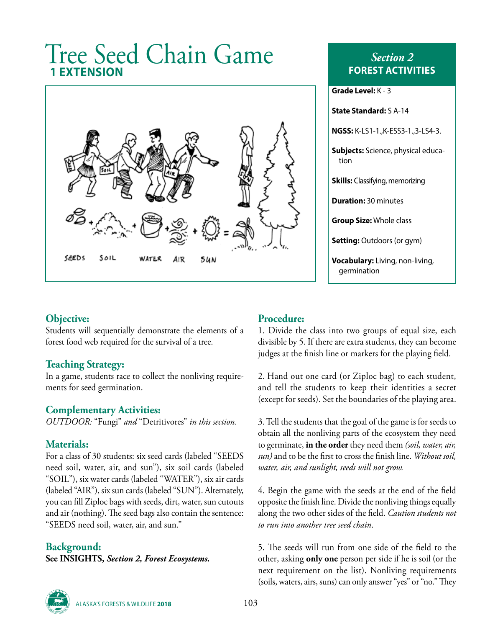# Tree Seed Chain Game **1 EXTENSION**



*Section 2* **FOREST ACTIVITIES**

| Grade Level: $K - 3$                                  |
|-------------------------------------------------------|
| <b>State Standard: S A-14</b>                         |
| <b>NGSS:</b> K-LS1-1., K-ESS3-1., 3-LS4-3.            |
| <b>Subjects:</b> Science, physical educa-<br>tion     |
| <b>Skills:</b> Classifying, memorizing                |
| <b>Duration: 30 minutes</b>                           |
| <b>Group Size:</b> Whole class                        |
| <b>Setting:</b> Outdoors (or gym)                     |
| <b>Vocabulary:</b> Living, non-living,<br>germination |

### **Objective:**

Students will sequentially demonstrate the elements of a forest food web required for the survival of a tree.

#### **Teaching Strategy:**

In a game, students race to collect the nonliving requirements for seed germination.

# **Complementary Activities:**

*OUTDOOR:* "Fungi" *and* "Detritivores" *in this section.*

#### **Materials:**

For a class of 30 students: six seed cards (labeled "SEEDS need soil, water, air, and sun"), six soil cards (labeled "SOIL"), six water cards (labeled "WATER"), six air cards (labeled "AIR"), six sun cards (labeled "SUN"). Alternately, you can fill Ziploc bags with seeds, dirt, water, sun cutouts and air (nothing). The seed bags also contain the sentence: "SEEDS need soil, water, air, and sun."

#### **Background:**

**See INSIGHTS,** *Section 2, Forest Ecosystems.*

#### **Procedure:**

1. Divide the class into two groups of equal size, each divisible by 5. If there are extra students, they can become judges at the finish line or markers for the playing field.

2. Hand out one card (or Ziploc bag) to each student, and tell the students to keep their identities a secret (except for seeds). Set the boundaries of the playing area.

3. Tell the students that the goal of the game is for seeds to obtain all the nonliving parts of the ecosystem they need to germinate, **in the order** they need them *(soil, water, air, sun)* and to be the first to cross the finish line. *Without soil, water, air, and sunlight, seeds will not grow.*

4. Begin the game with the seeds at the end of the field opposite the finish line. Divide the nonliving things equally along the two other sides of the field. *Caution students not to run into another tree seed chain*.

5. The seeds will run from one side of the field to the other, asking **only one** person per side if he is soil (or the next requirement on the list). Nonliving requirements (soils, waters, airs, suns) can only answer "yes" or "no." They



ALASKA'S FORESTS & WILDLIFE **2018** 103